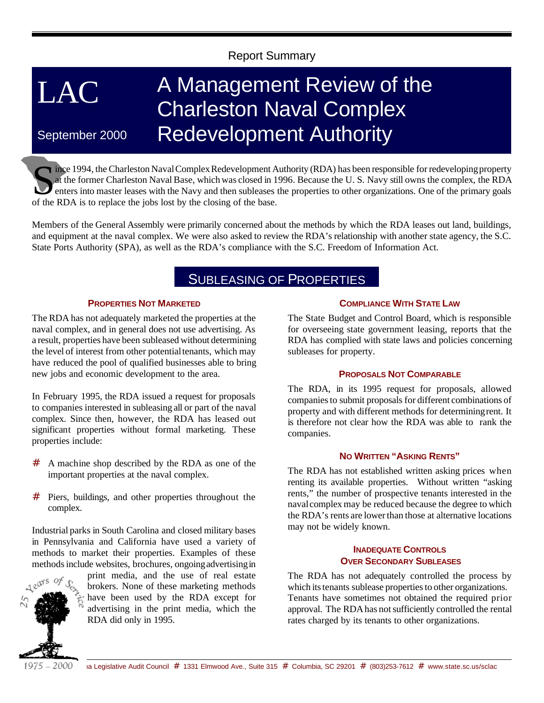#### Report Summary

# LAC

## A Management Review of the Charleston Naval Complex Redevelopment Authority

## September 2000

Solution Mayal Complex Redevelopment Authority (RDA) has been responsible for redeveloping property at the former Charleston Naval Base, which was closed in 1996. Because the U.S. Navy still owns the complex, the RDA enter ince 1994, the Charleston Naval Complex Redevelopment Authority (RDA) has been responsible for redeveloping property at the former Charleston Naval Base, which was closed in 1996. Because the U. S. Navy still owns the complex, the RDA of the RDA is to replace the jobs lost by the closing of the base.

Members of the General Assembly were primarily concerned about the methods by which the RDA leases out land, buildings, and equipment at the naval complex. We were also asked to review the RDA's relationship with another state agency, the S.C. State Ports Authority (SPA), as well as the RDA's compliance with the S.C. Freedom of Information Act.

## SUBLEASING OF PROPERTIES

#### **PROPERTIES NOT MARKETED**

The RDA has not adequately marketed the properties at the naval complex, and in general does not use advertising. As a result, properties have been subleased without determining the level of interest from other potential tenants, which may have reduced the pool of qualified businesses able to bring new jobs and economic development to the area.

In February 1995, the RDA issued a request for proposals to companies interested in subleasing all or part of the naval complex. Since then, however, the RDA has leased out significant properties without formal marketing. These properties include:

- # A machine shop described by the RDA as one of the important properties at the naval complex.
- # Piers, buildings, and other properties throughout the complex.

Industrial parks in South Carolina and closed military bases in Pennsylvania and California have used a variety of methods to market their properties. Examples of these methods include websites, brochures, ongoing advertising in



print media, and the use of real estate brokers. None of these marketing methods have been used by the RDA except for advertising in the print media, which the RDA did only in 1995.

#### **COMPLIANCE WITH STATE LAW**

The State Budget and Control Board, which is responsible for overseeing state government leasing, reports that the RDA has complied with state laws and policies concerning subleases for property.

#### **PROPOSALS NOT COMPARABLE**

The RDA, in its 1995 request for proposals, allowed companies to submit proposals for different combinations of property and with different methods for determiningrent. It is therefore not clear how the RDA was able to rank the companies.

#### **NO WRITTEN "ASKING RENTS"**

The RDA has not established written asking prices when renting its available properties. Without written "asking rents," the number of prospective tenants interested in the naval complex may be reduced because the degree to which the RDA's rents are lowerthan those at alternative locations may not be widely known.

#### **INADEQUATE CONTROLS OVER SECONDARY SUBLEASES**

The RDA has not adequately controlled the process by which its tenants sublease properties to other organizations. Tenants have sometimes not obtained the required prior approval. The RDA has not sufficiently controlled the rental rates charged by its tenants to other organizations.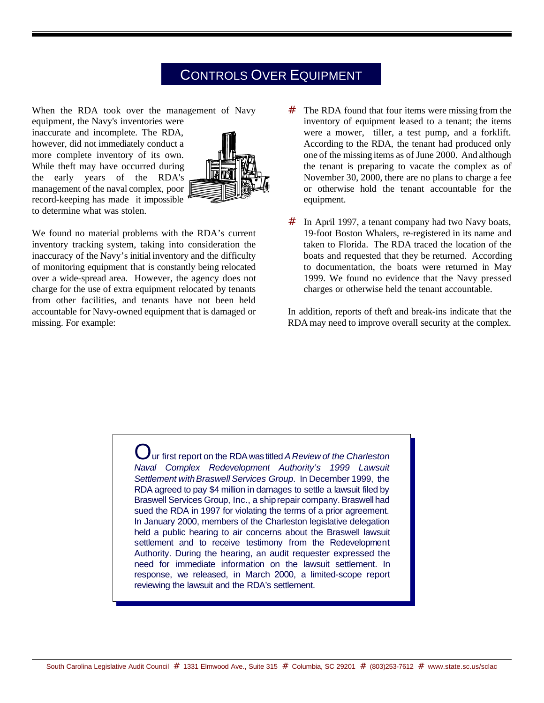## CONTROLS OVER EQUIPMENT

When the RDA took over the management of Navy equipment, the Navy's inventories were

inaccurate and incomplete. The RDA, however, did not immediately conduct a more complete inventory of its own. While theft may have occurred during the early years of the RDA's management of the naval complex, poor record-keeping has made it impossible to determine what was stolen.



We found no material problems with the RDA's current inventory tracking system, taking into consideration the inaccuracy of the Navy's initial inventory and the difficulty of monitoring equipment that is constantly being relocated over a wide-spread area. However, the agency does not charge for the use of extra equipment relocated by tenants from other facilities, and tenants have not been held accountable for Navy-owned equipment that is damaged or missing. For example:

- # The RDA found that four items were missing from the inventory of equipment leased to a tenant; the items were a mower, tiller, a test pump, and a forklift. According to the RDA, the tenant had produced only one of the missing items as of June 2000. And although the tenant is preparing to vacate the complex as of November 30, 2000, there are no plans to charge a fee or otherwise hold the tenant accountable for the equipment.
- # In April 1997, a tenant company had two Navy boats, 19-foot Boston Whalers, re-registered in its name and taken to Florida. The RDA traced the location of the boats and requested that they be returned. According to documentation, the boats were returned in May 1999. We found no evidence that the Navy pressed charges or otherwise held the tenant accountable.

In addition, reports of theft and break-ins indicate that the RDA may need to improve overall security at the complex.

Our first report on the RDAwas titled*<sup>A</sup> Review of the Charleston Naval Complex Redevelopment Authority's 1999 Lawsuit Settlement withBraswell Services Group*. In December 1999, the RDA agreed to pay \$4 million in damages to settle a lawsuit filed by Braswell Services Group, Inc., a ship repair company. Braswell had sued the RDA in 1997 for violating the terms of a prior agreement. In January 2000, members of the Charleston legislative delegation held a public hearing to air concerns about the Braswell lawsuit settlement and to receive testimony from the Redevelopment Authority. During the hearing, an audit requester expressed the need for immediate information on the lawsuit settlement. In response, we released, in March 2000, a limited-scope report reviewing the lawsuit and the RDA's settlement.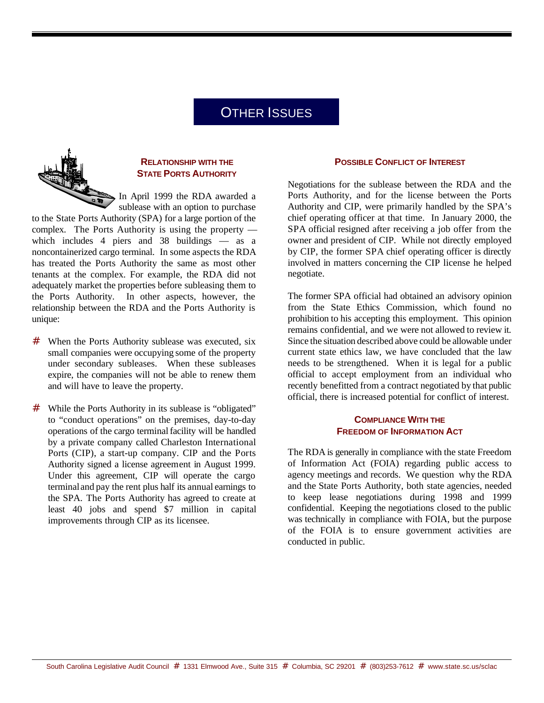## OTHER ISSUES



#### **RELATIONSHIP WITH THE STATE PORTS AUTHORITY**

In April 1999 the RDA awarded a sublease with an option to purchase

to the State Ports Authority (SPA) for a large portion of the complex. The Ports Authority is using the property which includes 4 piers and 38 buildings — as a noncontainerized cargo terminal. In some aspects the RDA has treated the Ports Authority the same as most other tenants at the complex. For example, the RDA did not adequately market the properties before subleasing them to the Ports Authority. In other aspects, however, the relationship between the RDA and the Ports Authority is unique:

- $#$  When the Ports Authority sublease was executed, six small companies were occupying some of the property under secondary subleases. When these subleases expire, the companies will not be able to renew them and will have to leave the property.
- # While the Ports Authority in its sublease is "obligated" to "conduct operations" on the premises, day-to-day operations of the cargo terminalfacility will be handled by a private company called Charleston International Ports (CIP), a start-up company. CIP and the Ports Authority signed a license agreement in August 1999. Under this agreement, CIP will operate the cargo terminaland pay the rent plus half its annual earnings to the SPA. The Ports Authority has agreed to create at least 40 jobs and spend \$7 million in capital improvements through CIP as its licensee.

#### **POSSIBLE CONFLICT OF INTEREST**

Negotiations for the sublease between the RDA and the Ports Authority, and for the license between the Ports Authority and CIP, were primarily handled by the SPA's chief operating officer at that time. In January 2000, the SPA official resigned after receiving a job offer from the owner and president of CIP. While not directly employed by CIP, the former SPA chief operating officer is directly involved in matters concerning the CIP license he helped negotiate.

The former SPA official had obtained an advisory opinion from the State Ethics Commission, which found no prohibition to his accepting this employment. This opinion remains confidential, and we were not allowed to review it. Since the situation described above could be allowable under current state ethics law, we have concluded that the law needs to be strengthened. When it is legal for a public official to accept employment from an individual who recently benefitted from a contract negotiated by that public official, there is increased potential for conflict of interest.

#### **COMPLIANCE WITH THE FREEDOM OF INFORMATION ACT**

The RDA is generally in compliance with the state Freedom of Information Act (FOIA) regarding public access to agency meetings and records. We question why the RDA and the State Ports Authority, both state agencies, needed to keep lease negotiations during 1998 and 1999 confidential. Keeping the negotiations closed to the public was technically in compliance with FOIA, but the purpose of the FOIA is to ensure government activities are conducted in public.